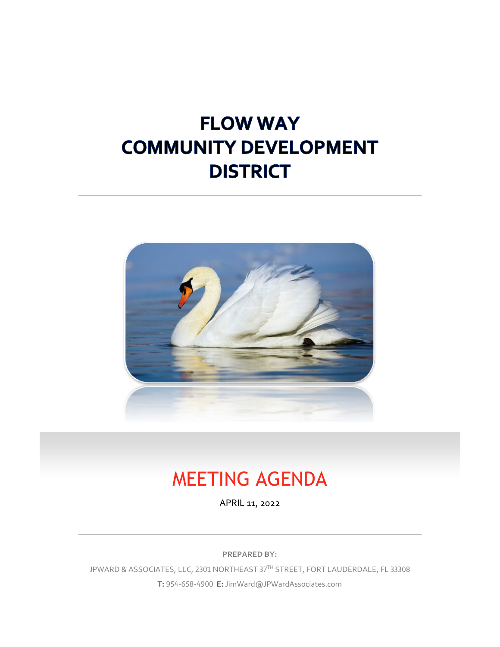# **FLOW WAY COMMUNITY DEVELOPMENT DISTRICT**



# MEETING AGENDA

APRIL 11, 2022

**PREPARED BY:**

JPWARD & ASSOCIATES, LLC, 2301 NORTHEAST 37TH STREET, FORT LAUDERDALE, FL 33308 **T:** 954-658-4900 **E:** JimWard@JPWardAssociates.com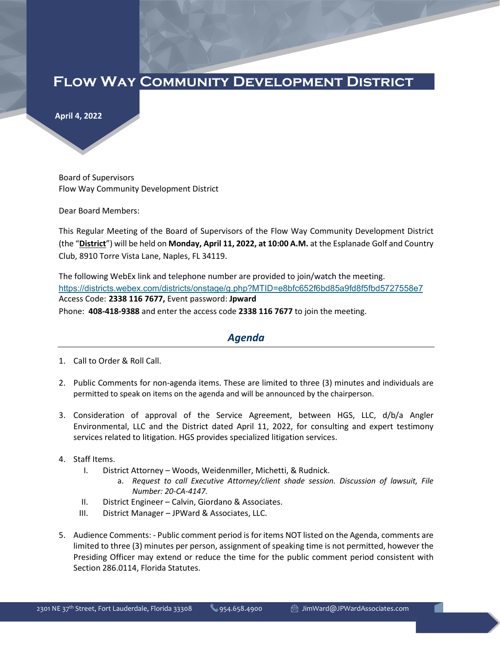### **Flow Way Community Development District**

**April 4, 2022** 

Board of Supervisors Flow Way Community Development District

Dear Board Members:

This Regular Meeting of the Board of Supervisors of the Flow Way Community Development District (the "**District**") will be held on **Monday, April 11, 2022, at 10:00 A.M.** at the Esplanade Golf and Country Club, 8910 Torre Vista Lane, Naples, FL 34119.

The following WebEx link and telephone number are provided to join/watch the meeting. <https://districts.webex.com/districts/onstage/g.php?MTID=e8bfc652f6bd85a9fd8f5fbd5727558e7> Access Code: **2338 116 7677,** Event password: **Jpward** Phone: **408-418-9388** and enter the access code **2338 116 7677** to join the meeting.

#### *Agenda*

- 1. Call to Order & Roll Call.
- 2. Public Comments for non-agenda items. These are limited to three (3) minutes and individuals are permitted to speak on items on the agenda and will be announced by the chairperson.
- 3. Consideration of approval of the Service Agreement, between HGS, LLC, d/b/a Angler Environmental, LLC and the District dated April 11, 2022, for consulting and expert testimony services related to litigation. HGS provides specialized litigation services.
- 4. Staff Items.
	- I. District Attorney Woods, Weidenmiller, Michetti, & Rudnick.
		- a. *Request to call Executive Attorney/client shade session. Discussion of lawsuit, File Number: 20-CA-4147.*
	- II. District Engineer Calvin, Giordano & Associates.
	- III. District Manager JPWard & Associates, LLC.
- 5. Audience Comments: Public comment period is for items NOT listed on the Agenda, comments are limited to three (3) minutes per person, assignment of speaking time is not permitted, however the Presiding Officer may extend or reduce the time for the public comment period consistent with Section 286.0114, Florida Statutes.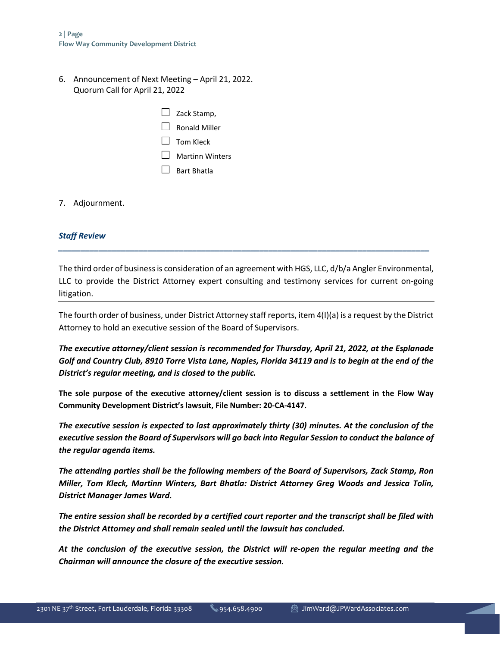6. Announcement of Next Meeting – April 21, 2022. Quorum Call for April 21, 2022

| $\Box$ Zack Stamp, |
|--------------------|
| l l Ronald Miller  |
| $\Box$ Tom Kleck   |
| Martinn Winters    |
| l l Bart Bhatla    |

7. Adjournment.

#### *Staff Review*

The third order of business is consideration of an agreement with HGS, LLC, d/b/a Angler Environmental, LLC to provide the District Attorney expert consulting and testimony services for current on-going litigation.

*\_\_\_\_\_\_\_\_\_\_\_\_\_\_\_\_\_\_\_\_\_\_\_\_\_\_\_\_\_\_\_\_\_\_\_\_\_\_\_\_\_\_\_\_\_\_\_\_\_\_\_\_\_\_\_\_\_\_\_\_\_\_\_\_\_\_\_\_\_\_\_\_\_\_\_\_\_\_\_\_\_\_\_*

The fourth order of business, under District Attorney staff reports, item 4(I)(a) is a request by the District Attorney to hold an executive session of the Board of Supervisors.

*The executive attorney/client session is recommended for Thursday, April 21, 2022, at the Esplanade Golf and Country Club, 8910 Torre Vista Lane, Naples, Florida 34119 and is to begin at the end of the District's regular meeting, and is closed to the public.* 

**The sole purpose of the executive attorney/client session is to discuss a settlement in the Flow Way Community Development District's lawsuit, File Number: 20-CA-4147.** 

*The executive session is expected to last approximately thirty (30) minutes. At the conclusion of the executive session the Board of Supervisors will go back into Regular Session to conduct the balance of the regular agenda items.*

*The attending parties shall be the following members of the Board of Supervisors, Zack Stamp, Ron Miller, Tom Kleck, Martinn Winters, Bart Bhatla: District Attorney Greg Woods and Jessica Tolin, District Manager James Ward.* 

*The entire session shall be recorded by a certified court reporter and the transcript shall be filed with the District Attorney and shall remain sealed until the lawsuit has concluded.* 

*At the conclusion of the executive session, the District will re-open the regular meeting and the Chairman will announce the closure of the executive session.*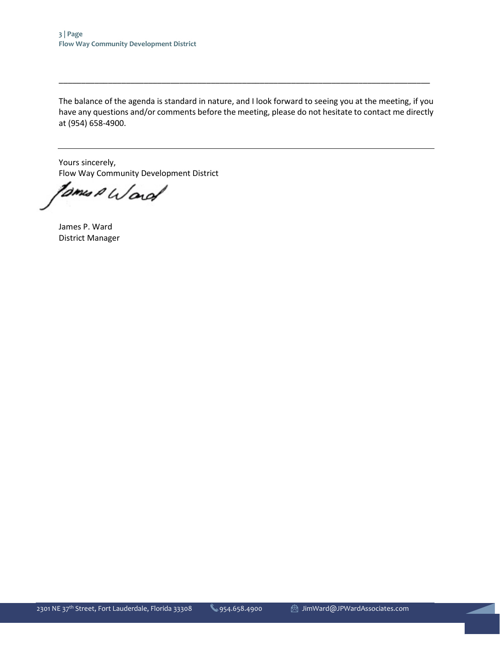The balance of the agenda is standard in nature, and I look forward to seeing you at the meeting, if you have any questions and/or comments before the meeting, please do not hesitate to contact me directly at (954) 658-4900.

\_\_\_\_\_\_\_\_\_\_\_\_\_\_\_\_\_\_\_\_\_\_\_\_\_\_\_\_\_\_\_\_\_\_\_\_\_\_\_\_\_\_\_\_\_\_\_\_\_\_\_\_\_\_\_\_\_\_\_\_\_\_\_\_\_\_\_\_\_\_\_\_\_\_\_\_\_\_\_\_\_\_\_

Yours sincerely, Flow Way Community Development District

toms A Word

James P. Ward District Manager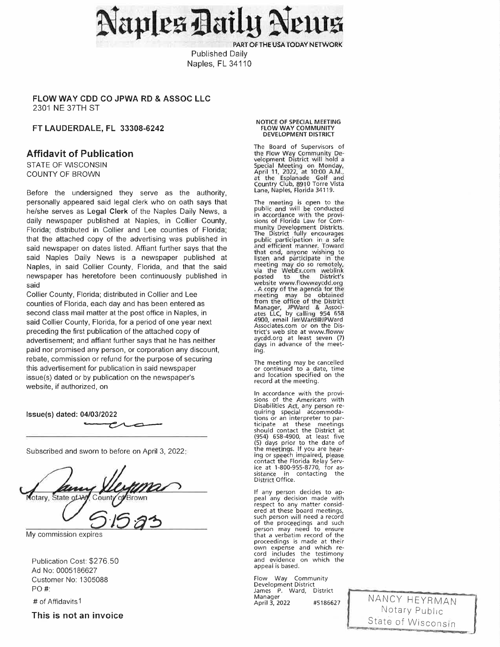aples Daily Net

PART OF THE USA TODAY NETWORK

**Published Daily** Naples, FL 34110

#### FLOW WAY CDD CO JPWA RD & ASSOC LLC 2301 NE 37TH ST

#### FT LAUDERDALE, FL 33308-6242

#### **Affidavit of Publication**

STATE OF WISCONSIN **COUNTY OF BROWN** 

Before the undersigned they serve as the authority, personally appeared said legal clerk who on oath says that he/she serves as Legal Clerk of the Naples Daily News, a daily newspaper published at Naples, in Collier County, Florida; distributed in Collier and Lee counties of Florida; that the attached copy of the advertising was published in said newspaper on dates listed. Affiant further says that the said Naples Daily News is a newspaper published at Naples, in said Collier County, Florida, and that the said newspaper has heretofore been continuously published in said

Collier County, Florida; distributed in Collier and Lee counties of Florida, each day and has been entered as second class mail matter at the post office in Naples, in said Collier County, Florida, for a period of one year next preceding the first publication of the attached copy of advertisement; and affiant further says that he has neither paid nor promised any person, or corporation any discount. rebate, commission or refund for the purpose of securing this advertisement for publication in said newspaper issue(s) dated or by publication on the newspaper's website, if authorized, on

Issue(s) dated: 04/03/2022

┮

Subscribed and sworn to before on April 3, 2022.

otary, State of Wy County

My commission expires

Publication Cost: \$276.50 Ad No: 0005186627 Customer No: 1305088 PO#:

# of Affidavits1

This is not an invoice

#### NOTICE OF SPECIAL MEETING **FLOW WAY COMMUNITY DEVELOPMENT DISTRICT**

The Board of Supervisors of the Flow Way Community Development District will hold a Special Meeting on Monday, April 11, 2022, at 10:00 A.M.,<br>at the Esplanade Golf and<br>Country Club, 8910 Torre Vista Lane, Naples, Florida 34119.

The meeting is open to the<br>public and will be conducted<br>in accordance with the provisions of Florida Law for Community Development Districts. The District fully encourages<br>public participation in a safe<br>and efficient manner. Toward that end, anyone wishing to<br>listen and participate in the meeting may do so remotely,<br>via the WebEx.com weblink<br>posted to the District's posted to the District's<br>website www.flowwaycdd.org A copy of the agenda for the meeting may be obtained<br>from the office of the District Manager, JPWard & Associates LLC, by calling 954 658<br>4900, email JimWard@JPWard Associates.com or on the District's web site at www.floww aycdd.org at least seven (7)<br>days in advance of the meeting.

The meeting may be cancelled or continued to a date, time and location specified on the record at the meeting.

In accordance with the provisions of the Americans with Disabilities Act, any person requiring special accommodations or an interpreter to participate at these meetings<br>should contact the District at (954) 658-4900, at least five<br>(954) 658-4900, at least five<br>(5) days prior to the date of the meetings. If you are hear-<br>ing or speech impaired, please contact the Florida Relay Service at 1-800-955-8770, for assistance in contacting the<br>District Office.

If any person decides to appeal any decision made with respect to any matter considered at these board meetings, such person will need a record of the proceedings and such<br>person may need to ensure<br>that a verbatim record of the proceedings is made at their own expense and which record includes the testimony and evidence on which the appeal is based.

Flow Way Community Development District<br>James P. Ward, District Manager April 3, 2022 #5186627

NANCY HEYRMAN Notary Public State of Wisconsin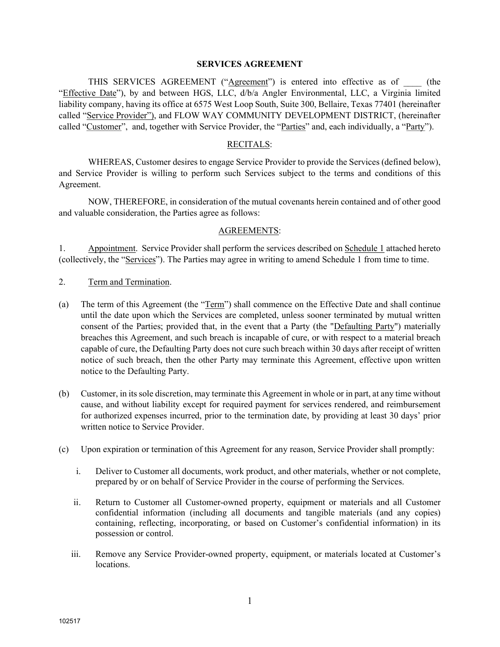#### SERVICES AGREEMENT

THIS SERVICES AGREEMENT ("Agreement") is entered into effective as of (the "Effective Date"), by and between HGS, LLC, d/b/a Angler Environmental, LLC, a Virginia limited liability company, having its office at 6575 West Loop South, Suite 300, Bellaire, Texas 77401 (hereinafter called "Service Provider"), and FLOW WAY COMMUNITY DEVELOPMENT DISTRICT, (hereinafter called "Customer", and, together with Service Provider, the "Parties" and, each individually, a "Party").

#### RECITALS:

WHEREAS, Customer desires to engage Service Provider to provide the Services (defined below), and Service Provider is willing to perform such Services subject to the terms and conditions of this Agreement.

NOW, THEREFORE, in consideration of the mutual covenants herein contained and of other good and valuable consideration, the Parties agree as follows:

#### AGREEMENTS:

1. Appointment. Service Provider shall perform the services described on Schedule 1 attached hereto (collectively, the "Services"). The Parties may agree in writing to amend Schedule 1 from time to time.

- 2. Term and Termination.
- (a) The term of this Agreement (the "Term") shall commence on the Effective Date and shall continue until the date upon which the Services are completed, unless sooner terminated by mutual written consent of the Parties; provided that, in the event that a Party (the "Defaulting Party") materially breaches this Agreement, and such breach is incapable of cure, or with respect to a material breach capable of cure, the Defaulting Party does not cure such breach within 30 days after receipt of written notice of such breach, then the other Party may terminate this Agreement, effective upon written notice to the Defaulting Party.
- (b) Customer, in its sole discretion, may terminate this Agreement in whole or in part, at any time without cause, and without liability except for required payment for services rendered, and reimbursement for authorized expenses incurred, prior to the termination date, by providing at least 30 days' prior written notice to Service Provider.
- (c) Upon expiration or termination of this Agreement for any reason, Service Provider shall promptly:
	- i. Deliver to Customer all documents, work product, and other materials, whether or not complete, prepared by or on behalf of Service Provider in the course of performing the Services.
	- ii. Return to Customer all Customer-owned property, equipment or materials and all Customer confidential information (including all documents and tangible materials (and any copies) containing, reflecting, incorporating, or based on Customer's confidential information) in its possession or control.
	- iii. Remove any Service Provider-owned property, equipment, or materials located at Customer's locations.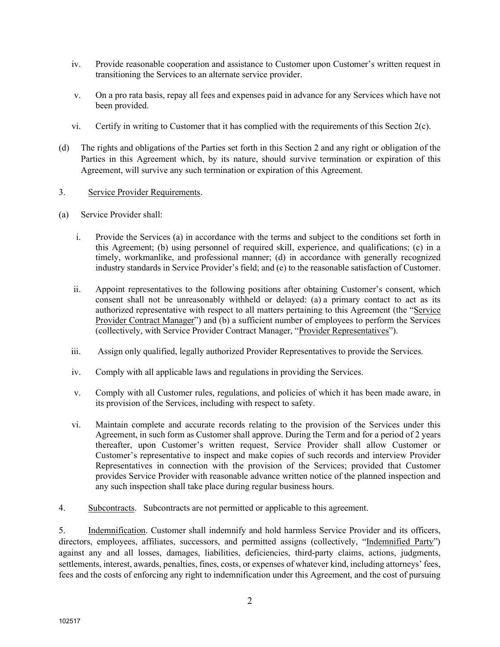- iv. Provide reasonable cooperation and assistance to Customer upon Customer's written request in transitioning the Services to an alternate service provider.
- v. On a pro rata basis, repay all fees and expenses paid in advance for any Services which have not been provided.
- vi. Certify in writing to Customer that it has complied with the requirements of this Section  $2(c)$ .
- (d) The rights and obligations of the Parties set forth in this Section 2 and any right or obligation of the Parties in this Agreement which, by its nature, should survive termination or expiration of this Agreement, will survive any such termination or expiration of this Agreement.

#### 3. Service Provider Requirements.

- (a) Service Provider shall:
	- i. Provide the Services (a) in accordance with the terms and subject to the conditions set forth in this Agreement; (b) using personnel of required skill, experience, and qualifications; (c) in a timely, workmanlike, and professional manner; (d) in accordance with generally recognized industry standards in Service Provider's field; and (e) to the reasonable satisfaction of Customer.
	- ii. Appoint representatives to the following positions after obtaining Customer's consent, which consent shall not be unreasonably withheld or delayed: (a) a primary contact to act as its authorized representative with respect to all matters pertaining to this Agreement (the "Service Provider Contract Manager") and (b) a sufficient number of employees to perform the Services (collectively, with Service Provider Contract Manager, "Provider Representatives").
	- iii. Assign only qualified, legally authorized Provider Representatives to provide the Services.
	- iv. Comply with all applicable laws and regulations in providing the Services.
	- v. Comply with all Customer rules, regulations, and policies of which it has been made aware, in its provision of the Services, including with respect to safety.
	- vi. Maintain complete and accurate records relating to the provision of the Services under this Agreement, in such form as Customer shall approve. During the Term and for a period of 2 years thereafter, upon Customer's written request, Service Provider shall allow Customer or Customer's representative to inspect and make copies of such records and interview Provider Representatives in connection with the provision of the Services; provided that Customer provides Service Provider with reasonable advance written notice of the planned inspection and any such inspection shall take place during regular business hours.
- 4. Subcontracts. Subcontracts are not permitted or applicable to this agreement.

5. Indemnification. Customer shall indemnify and hold harmless Service Provider and its officers, directors, employees, affiliates, successors, and permitted assigns (collectively, "Indemnified Party") against any and all losses, damages, liabilities, deficiencies, third-party claims, actions, judgments, settlements, interest, awards, penalties, fines, costs, or expenses of whatever kind, including attorneys' fees, fees and the costs of enforcing any right to indemnification under this Agreement, and the cost of pursuing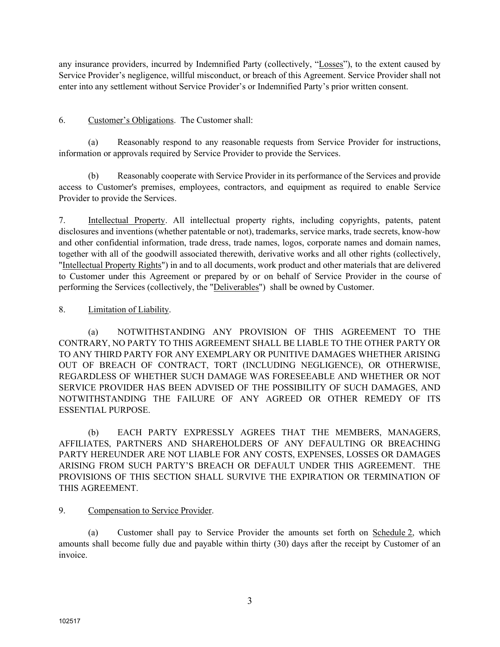any insurance providers, incurred by Indemnified Party (collectively, "Losses"), to the extent caused by Service Provider's negligence, willful misconduct, or breach of this Agreement. Service Provider shall not enter into any settlement without Service Provider's or Indemnified Party's prior written consent.

#### 6. Customer's Obligations. The Customer shall:

(a) Reasonably respond to any reasonable requests from Service Provider for instructions, information or approvals required by Service Provider to provide the Services.

(b) Reasonably cooperate with Service Provider in its performance of the Services and provide access to Customer's premises, employees, contractors, and equipment as required to enable Service Provider to provide the Services.

7. Intellectual Property. All intellectual property rights, including copyrights, patents, patent disclosures and inventions (whether patentable or not), trademarks, service marks, trade secrets, know-how and other confidential information, trade dress, trade names, logos, corporate names and domain names, together with all of the goodwill associated therewith, derivative works and all other rights (collectively, "Intellectual Property Rights") in and to all documents, work product and other materials that are delivered to Customer under this Agreement or prepared by or on behalf of Service Provider in the course of performing the Services (collectively, the "Deliverables") shall be owned by Customer.

#### 8. Limitation of Liability.

(a) NOTWITHSTANDING ANY PROVISION OF THIS AGREEMENT TO THE CONTRARY, NO PARTY TO THIS AGREEMENT SHALL BE LIABLE TO THE OTHER PARTY OR TO ANY THIRD PARTY FOR ANY EXEMPLARY OR PUNITIVE DAMAGES WHETHER ARISING OUT OF BREACH OF CONTRACT, TORT (INCLUDING NEGLIGENCE), OR OTHERWISE, REGARDLESS OF WHETHER SUCH DAMAGE WAS FORESEEABLE AND WHETHER OR NOT SERVICE PROVIDER HAS BEEN ADVISED OF THE POSSIBILITY OF SUCH DAMAGES, AND NOTWITHSTANDING THE FAILURE OF ANY AGREED OR OTHER REMEDY OF ITS ESSENTIAL PURPOSE.

(b) EACH PARTY EXPRESSLY AGREES THAT THE MEMBERS, MANAGERS, AFFILIATES, PARTNERS AND SHAREHOLDERS OF ANY DEFAULTING OR BREACHING PARTY HEREUNDER ARE NOT LIABLE FOR ANY COSTS, EXPENSES, LOSSES OR DAMAGES ARISING FROM SUCH PARTY'S BREACH OR DEFAULT UNDER THIS AGREEMENT. THE PROVISIONS OF THIS SECTION SHALL SURVIVE THE EXPIRATION OR TERMINATION OF THIS AGREEMENT.

#### 9. Compensation to Service Provider.

(a) Customer shall pay to Service Provider the amounts set forth on Schedule 2, which amounts shall become fully due and payable within thirty (30) days after the receipt by Customer of an invoice.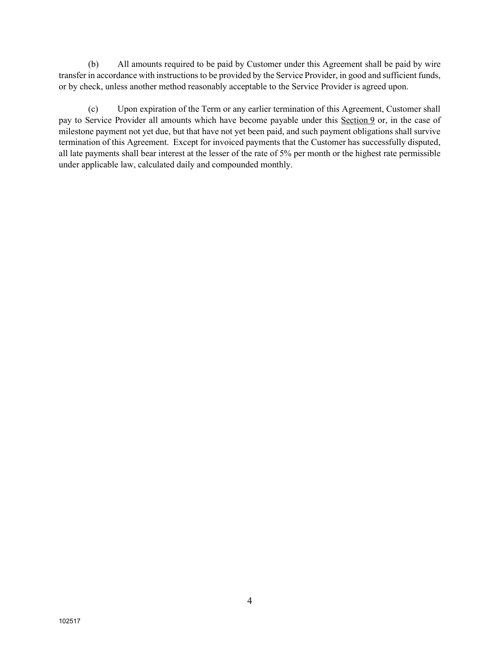(b) All amounts required to be paid by Customer under this Agreement shall be paid by wire transfer in accordance with instructions to be provided by the Service Provider, in good and sufficient funds, or by check, unless another method reasonably acceptable to the Service Provider is agreed upon.

(c) Upon expiration of the Term or any earlier termination of this Agreement, Customer shall pay to Service Provider all amounts which have become payable under this Section 9 or, in the case of milestone payment not yet due, but that have not yet been paid, and such payment obligations shall survive termination of this Agreement. Except for invoiced payments that the Customer has successfully disputed, all late payments shall bear interest at the lesser of the rate of 5% per month or the highest rate permissible under applicable law, calculated daily and compounded monthly.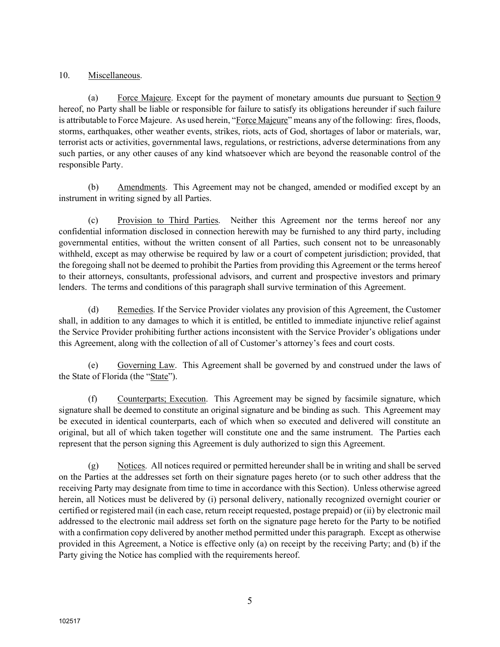#### 10. Miscellaneous.

(a) Force Majeure. Except for the payment of monetary amounts due pursuant to Section 9 hereof, no Party shall be liable or responsible for failure to satisfy its obligations hereunder if such failure is attributable to Force Majeure. As used herein, "Force Majeure" means any of the following: fires, floods, storms, earthquakes, other weather events, strikes, riots, acts of God, shortages of labor or materials, war, terrorist acts or activities, governmental laws, regulations, or restrictions, adverse determinations from any such parties, or any other causes of any kind whatsoever which are beyond the reasonable control of the responsible Party.

(b) Amendments. This Agreement may not be changed, amended or modified except by an instrument in writing signed by all Parties.

(c) Provision to Third Parties. Neither this Agreement nor the terms hereof nor any confidential information disclosed in connection herewith may be furnished to any third party, including governmental entities, without the written consent of all Parties, such consent not to be unreasonably withheld, except as may otherwise be required by law or a court of competent jurisdiction; provided, that the foregoing shall not be deemed to prohibit the Parties from providing this Agreement or the terms hereof to their attorneys, consultants, professional advisors, and current and prospective investors and primary lenders. The terms and conditions of this paragraph shall survive termination of this Agreement.

(d) Remedies. If the Service Provider violates any provision of this Agreement, the Customer shall, in addition to any damages to which it is entitled, be entitled to immediate injunctive relief against the Service Provider prohibiting further actions inconsistent with the Service Provider's obligations under this Agreement, along with the collection of all of Customer's attorney's fees and court costs.

(e) Governing Law. This Agreement shall be governed by and construed under the laws of the State of Florida (the "State").

(f) Counterparts; Execution. This Agreement may be signed by facsimile signature, which signature shall be deemed to constitute an original signature and be binding as such. This Agreement may be executed in identical counterparts, each of which when so executed and delivered will constitute an original, but all of which taken together will constitute one and the same instrument. The Parties each represent that the person signing this Agreement is duly authorized to sign this Agreement.

(g) Notices. All notices required or permitted hereunder shall be in writing and shall be served on the Parties at the addresses set forth on their signature pages hereto (or to such other address that the receiving Party may designate from time to time in accordance with this Section). Unless otherwise agreed herein, all Notices must be delivered by (i) personal delivery, nationally recognized overnight courier or certified or registered mail (in each case, return receipt requested, postage prepaid) or (ii) by electronic mail addressed to the electronic mail address set forth on the signature page hereto for the Party to be notified with a confirmation copy delivered by another method permitted under this paragraph. Except as otherwise provided in this Agreement, a Notice is effective only (a) on receipt by the receiving Party; and (b) if the Party giving the Notice has complied with the requirements hereof.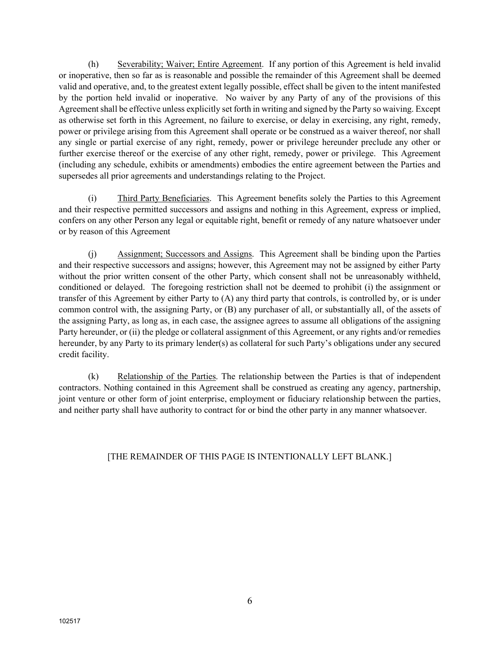(h) Severability; Waiver; Entire Agreement. If any portion of this Agreement is held invalid or inoperative, then so far as is reasonable and possible the remainder of this Agreement shall be deemed valid and operative, and, to the greatest extent legally possible, effect shall be given to the intent manifested by the portion held invalid or inoperative. No waiver by any Party of any of the provisions of this Agreement shall be effective unless explicitly set forth in writing and signed by the Party so waiving. Except as otherwise set forth in this Agreement, no failure to exercise, or delay in exercising, any right, remedy, power or privilege arising from this Agreement shall operate or be construed as a waiver thereof, nor shall any single or partial exercise of any right, remedy, power or privilege hereunder preclude any other or further exercise thereof or the exercise of any other right, remedy, power or privilege. This Agreement (including any schedule, exhibits or amendments) embodies the entire agreement between the Parties and supersedes all prior agreements and understandings relating to the Project.

(i) Third Party Beneficiaries. This Agreement benefits solely the Parties to this Agreement and their respective permitted successors and assigns and nothing in this Agreement, express or implied, confers on any other Person any legal or equitable right, benefit or remedy of any nature whatsoever under or by reason of this Agreement

(j) Assignment; Successors and Assigns. This Agreement shall be binding upon the Parties and their respective successors and assigns; however, this Agreement may not be assigned by either Party without the prior written consent of the other Party, which consent shall not be unreasonably withheld, conditioned or delayed. The foregoing restriction shall not be deemed to prohibit (i) the assignment or transfer of this Agreement by either Party to (A) any third party that controls, is controlled by, or is under common control with, the assigning Party, or (B) any purchaser of all, or substantially all, of the assets of the assigning Party, as long as, in each case, the assignee agrees to assume all obligations of the assigning Party hereunder, or (ii) the pledge or collateral assignment of this Agreement, or any rights and/or remedies hereunder, by any Party to its primary lender(s) as collateral for such Party's obligations under any secured credit facility.

(k) Relationship of the Parties. The relationship between the Parties is that of independent contractors. Nothing contained in this Agreement shall be construed as creating any agency, partnership, joint venture or other form of joint enterprise, employment or fiduciary relationship between the parties, and neither party shall have authority to contract for or bind the other party in any manner whatsoever.

#### [THE REMAINDER OF THIS PAGE IS INTENTIONALLY LEFT BLANK.]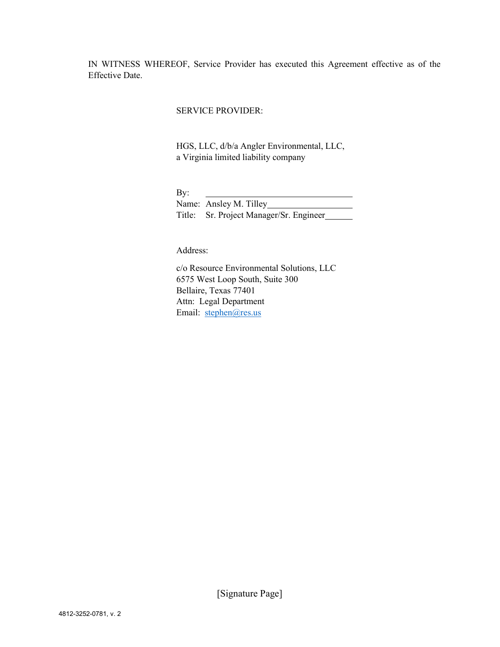IN WITNESS WHEREOF, Service Provider has executed this Agreement effective as of the Effective Date.

#### SERVICE PROVIDER:

HGS, LLC, d/b/a Angler Environmental, LLC, a Virginia limited liability company

By:

Name: Ansley M. Tilley Title: Sr. Project Manager/Sr. Engineer

Address:

c/o Resource Environmental Solutions, LLC 6575 West Loop South, Suite 300 Bellaire, Texas 77401 Attn: Legal Department Email: stephen@res.us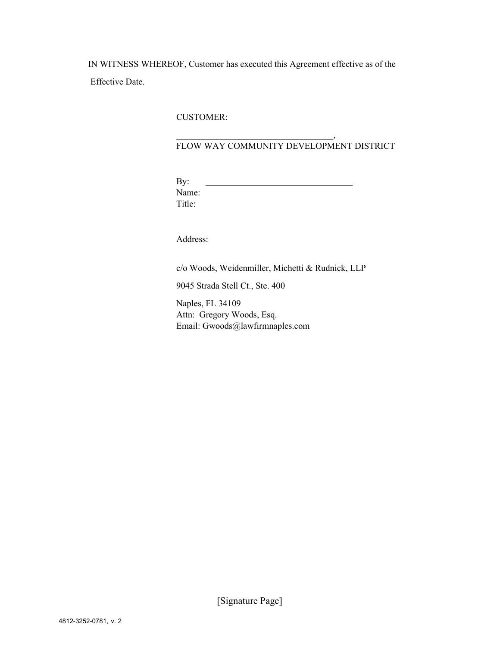IN WITNESS WHEREOF, Customer has executed this Agreement effective as of the Effective Date.

 $\overline{\phantom{a}}$ 

#### CUSTOMER:

#### FLOW WAY COMMUNITY DEVELOPMENT DISTRICT

By: Name: Title:

Address:

c/o Woods, Weidenmiller, Michetti & Rudnick, LLP

9045 Strada Stell Ct., Ste. 400

Naples, FL 34109 Attn: Gregory Woods, Esq. Email: Gwoods@lawfirmnaples.com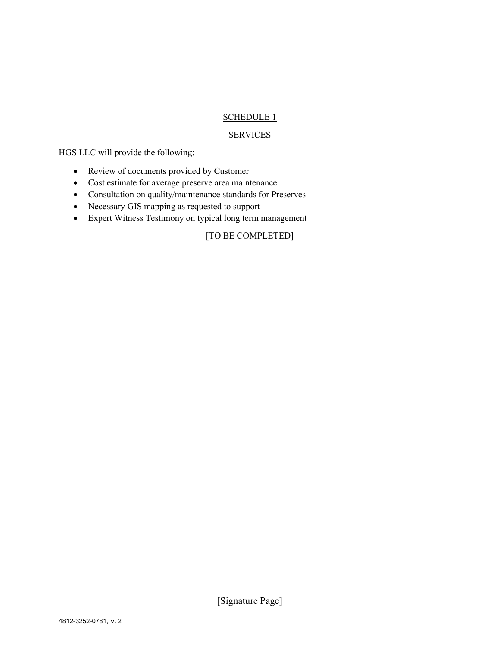#### SCHEDULE 1

#### SERVICES

HGS LLC will provide the following:

- Review of documents provided by Customer
- Cost estimate for average preserve area maintenance
- Consultation on quality/maintenance standards for Preserves
- Necessary GIS mapping as requested to support
- Expert Witness Testimony on typical long term management

### [TO BE COMPLETED]